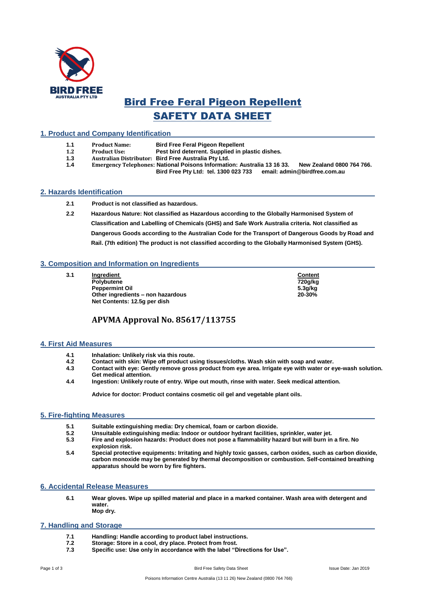

# Bird Free Feral Pigeon Repellent SAFETY DATA SHEET

# **1. Product and Company Identification**

- **1.1 Product Name: Bird Free Feral Pigeon Repellent**
- **1.2 Product Use: Pest bird deterrent. Supplied in plastic dishes.**
- **1.3 Australian Distributor: Bird Free Australia Pty Ltd.**
- **1.4 Emergency Telephones: National Poisons Information: Australia 13 16 33. New Zealand 0800 764 766. Bird Free Pty Ltd: tel. 1300 023 733**

# **2. Hazards Identification**

- **2.1 Product is not classified as hazardous.**
- **2.2 Hazardous Nature: Not classified as Hazardous according to the Globally Harmonised System of Classification and Labelling of Chemicals (GHS) and Safe Work Australia criteria. Not classified as Dangerous Goods according to the Australian Code for the Transport of Dangerous Goods by Road and Rail. (7th edition) The product is not classified according to the Globally Harmonised System (GHS).**

# **3. Composition and Information on Ingredients**

- **3.1 Ingredient Content <b>Content Content** 
	- **Polybutene 720g/kg Peppermint Oil 5.3g/kg Other ingredients – non hazardous 20-30% Net Contents: 12.5g per dish**

# **APVMA Approval No. 85617/113755**

#### **4. First Aid Measures**

- **4.1 Inhalation: Unlikely risk via this route.**
- **4.2 Contact with skin: Wipe off product using tissues/cloths. Wash skin with soap and water.**
- **4.3 Contact with eye: Gently remove gross product from eye area. Irrigate eye with water or eye-wash solution. Get medical attention.**
- **4.4 Ingestion: Unlikely route of entry. Wipe out mouth, rinse with water. Seek medical attention.**

**Advice for doctor: Product contains cosmetic oil gel and vegetable plant oils.**

#### **5. Fire-fighting Measures**

- **5.1 Suitable extinguishing media: Dry chemical, foam or carbon dioxide.**
- **5.2 Unsuitable extinguishing media: Indoor or outdoor hydrant facilities, sprinkler, water jet.**
- **5.3 Fire and explosion hazards: Product does not pose a flammability hazard but will burn in a fire. No explosion risk.**
- **5.4 Special protective equipments: Irritating and highly toxic gasses, carbon oxides, such as carbon dioxide, carbon monoxide may be generated by thermal decomposition or combustion. Self-contained breathing apparatus should be worn by fire fighters.**

#### **6. Accidental Release Measures**

**6.1 Wear gloves. Wipe up spilled material and place in a marked container. Wash area with detergent and water. Mop dry.**

#### **7. Handling and Storage**

- **7.1 Handling: Handle according to product label instructions.**
- **7.2 Storage: Store in a cool, dry place. Protect from frost.**
- **7.3 Specific use: Use only in accordance with the label "Directions for Use".**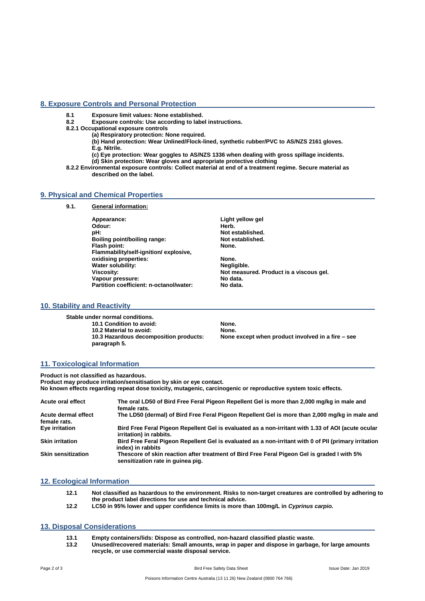#### **8. Exposure Controls and Personal Protection**

**8.1 Exposure limit values: None established.**

- **8.2 Exposure controls: Use according to label instructions.**
- **8.2.1 Occupational exposure controls**
	- **(a) Respiratory protection: None required.**
	- **(b) Hand protection: Wear Unlined/Flock-lined, synthetic rubber/PVC to AS/NZS 2161 gloves. E.g. Nitrile.**
	- **(c) Eye protection: Wear goggles to AS/NZS 1336 when dealing with gross spillage incidents. (d) Skin protection: Wear gloves and appropriate protective clothing**
- **8.2.2 Environmental exposure controls: Collect material at end of a treatment regime. Secure material as described on the label.**

#### **9. Physical and Chemical Properties**

**9.1. General information:**

**Appearance: Light yellow gel**  Odour:<br>pH: **Boiling point/boiling range: Not established.**<br>Flash point: None. **Flash point: Flammability/self-ignition/ explosive, oxidising properties: None. We are the US** None. Water solubility: **Water solubility:**<br>Viscosity: Vapour pressure:<br>Partition coefficient: n-octanol/water: **No data.** Partition coefficient: n-octanol/water:

**Not established.**<br>Not established.

Not measured. Product is a viscous gel.<br>No data.

# **10. Stability and Reactivity**

**Stable under normal conditions. 10.1 Condition to avoid:** None.<br>**10.2 Material to avoid:** None. None. **10.2 Material to avoid:<br>10.3 Hazardous decomposition products: paragraph 5.**

**None except when product involved in a fire – see** 

# **11. Toxicological Information**

**Product is not classified as hazardous. Product may produce irritation/sensitisation by skin or eye contact. No known effects regarding repeat dose toxicity, mutagenic, carcinogenic or reproductive system toxic effects.**

| Acute oral effect         | The oral LD50 of Bird Free Feral Pigeon Repellent Gel is more than 2,000 mg/kg in male and<br>female rats.                       |
|---------------------------|----------------------------------------------------------------------------------------------------------------------------------|
| Acute dermal effect       | The LD50 (dermal) of Bird Free Feral Pigeon Repellent Gel is more than 2,000 mg/kg in male and                                   |
| female rats.              |                                                                                                                                  |
| Eye irritation            | Bird Free Feral Pigeon Repellent Gel is evaluated as a non-irritant with 1.33 of AOI (acute ocular<br>irritation) in rabbits.    |
| <b>Skin irritation</b>    | Bird Free Feral Pigeon Repellent Gel is evaluated as a non-irritant with 0 of PII (primary irritation<br>index) in rabbits       |
| <b>Skin sensitization</b> | Thescore of skin reaction after treatment of Bird Free Feral Pigeon Gel is graded I with 5%<br>sensitization rate in quinea pig. |

#### **12. Ecological Information**

| 12.1 | Not classified as hazardous to the environment. Risks to non-target creatures are controlled by adhering to |
|------|-------------------------------------------------------------------------------------------------------------|
|      | the product label directions for use and technical advice.                                                  |
| 122  | LC50 in 95% lower and upper confidence limits is more than 100 mail in Cyprinus carpio                      |

#### **12.2 LC50 in 95% lower and upper confidence limits is more than 100mg/L in** *Cyprinus carpio.*

#### **13. Disposal Considerations**

- **13.1 Empty containers/lids: Dispose as controlled, non-hazard classified plastic waste.**
- **13.2 Unused/recovered materials: Small amounts, wrap in paper and dispose in garbage, for large amounts recycle, or use commercial waste disposal service.**